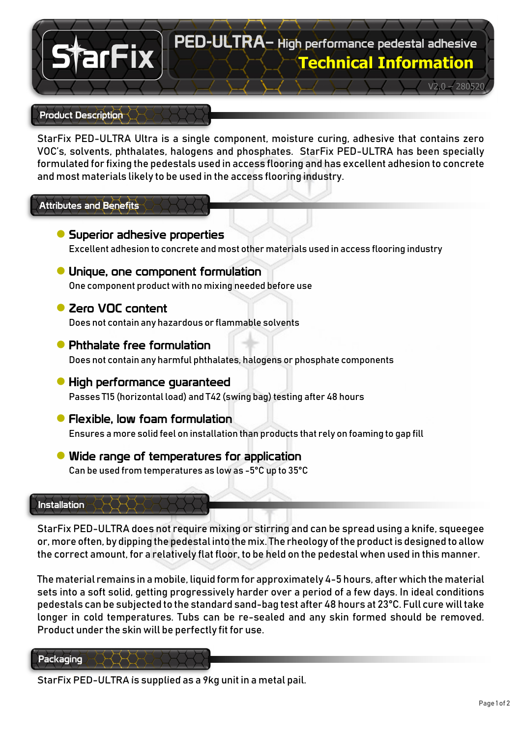# PED-ULTRA– High performance pedestal adhesive **Technical Information**

 $\sqrt{2.0} - 280520$ 

# Product Description

arFix

StarFix PED-ULTRA Ultra is a single component, moisture curing, adhesive that contains zero VOC's, solvents, phthalates, halogens and phosphates. StarFix PED-ULTRA has been specially formulated for fixing the pedestals used in access flooring and has excellent adhesion to concrete and most materials likely to be used in the access flooring industry.

# Attributes and Benefits

- **●** Superior adhesive properties Excellent adhesion to concrete and most other materials used in access flooring industry
- **●** Unique, one component formulation One component product with no mixing needed before use
- **●** Zero VOC content

Does not contain any hazardous or flammable solvents

- **●** Phthalate free formulation Does not contain any harmful phthalates, halogens or phosphate components
- **●** High performance guaranteed Passes T15 (horizontal load) and T42 (swing bag) testing after 48 hours
- **●** Flexible, low foam formulation Ensures a more solid feel on installation than products that rely on foaming to gap fill
- **●** Wide range of temperatures for application Can be used from temperatures as low as -5°C up to 35°C

## Installation

StarFix PED-ULTRA does not require mixing or stirring and can be spread using a knife, squeegee or, more often, by dipping the pedestal into the mix. The rheology of the product is designed to allow the correct amount, for a relatively flat floor, to be held on the pedestal when used in this manner.

The material remains in a mobile, liquid form for approximately 4-5 hours, after which the material sets into a soft solid, getting progressively harder over a period of a few days. In ideal conditions pedestals can be subjected to the standard sand-bag test after 48 hours at 23°C. Full cure will take longer in cold temperatures. Tubs can be re-sealed and any skin formed should be removed. Product under the skin will be perfectly fit for use.

#### Packaging

StarFix PED-ULTRA is supplied as a 9kg unit in a metal pail.